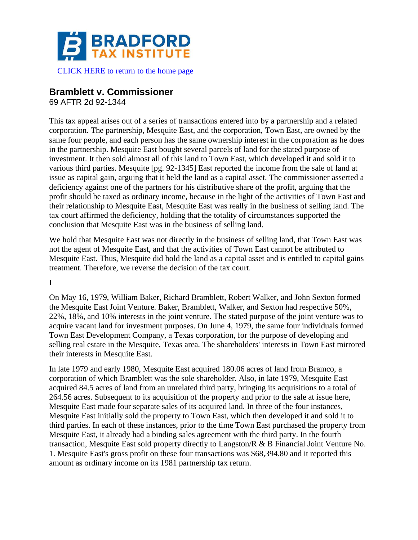

[CLICK HERE to return to the home page](https://www.bradfordtaxinstitute.com)

# **Bramblett v. Commissioner**

69 AFTR 2d 92-1344

This tax appeal arises out of a series of transactions entered into by a partnership and a related corporation. The partnership, Mesquite East, and the corporation, Town East, are owned by the same four people, and each person has the same ownership interest in the corporation as he does in the partnership. Mesquite East bought several parcels of land for the stated purpose of investment. It then sold almost all of this land to Town East, which developed it and sold it to various third parties. Mesquite [pg. 92-1345] East reported the income from the sale of land at issue as capital gain, arguing that it held the land as a capital asset. The commissioner asserted a deficiency against one of the partners for his distributive share of the profit, arguing that the profit should be taxed as ordinary income, because in the light of the activities of Town East and their relationship to Mesquite East, Mesquite East was really in the business of selling land. The tax court affirmed the deficiency, holding that the totality of circumstances supported the conclusion that Mesquite East was in the business of selling land.

We hold that Mesquite East was not directly in the business of selling land, that Town East was not the agent of Mesquite East, and that the activities of Town East cannot be attributed to Mesquite East. Thus, Mesquite did hold the land as a capital asset and is entitled to capital gains treatment. Therefore, we reverse the decision of the tax court.

I

On May 16, 1979, William Baker, Richard Bramblett, Robert Walker, and John Sexton formed the Mesquite East Joint Venture. Baker, Bramblett, Walker, and Sexton had respective 50%, 22%, 18%, and 10% interests in the joint venture. The stated purpose of the joint venture was to acquire vacant land for investment purposes. On June 4, 1979, the same four individuals formed Town East Development Company, a Texas corporation, for the purpose of developing and selling real estate in the Mesquite, Texas area. The shareholders' interests in Town East mirrored their interests in Mesquite East.

In late 1979 and early 1980, Mesquite East acquired 180.06 acres of land from Bramco, a corporation of which Bramblett was the sole shareholder. Also, in late 1979, Mesquite East acquired 84.5 acres of land from an unrelated third party, bringing its acquisitions to a total of 264.56 acres. Subsequent to its acquisition of the property and prior to the sale at issue here, Mesquite East made four separate sales of its acquired land. In three of the four instances, Mesquite East initially sold the property to Town East, which then developed it and sold it to third parties. In each of these instances, prior to the time Town East purchased the property from Mesquite East, it already had a binding sales agreement with the third party. In the fourth transaction, Mesquite East sold property directly to Langston/R & B Financial Joint Venture No. 1. Mesquite East's gross profit on these four transactions was \$68,394.80 and it reported this amount as ordinary income on its 1981 partnership tax return.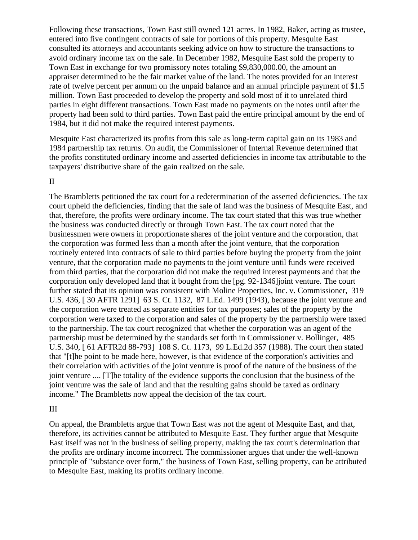Following these transactions, Town East still owned 121 acres. In 1982, Baker, acting as trustee, entered into five contingent contracts of sale for portions of this property. Mesquite East consulted its attorneys and accountants seeking advice on how to structure the transactions to avoid ordinary income tax on the sale. In December 1982, Mesquite East sold the property to Town East in exchange for two promissory notes totaling \$9,830,000.00, the amount an appraiser determined to be the fair market value of the land. The notes provided for an interest rate of twelve percent per annum on the unpaid balance and an annual principle payment of \$1.5 million. Town East proceeded to develop the property and sold most of it to unrelated third parties in eight different transactions. Town East made no payments on the notes until after the property had been sold to third parties. Town East paid the entire principal amount by the end of 1984, but it did not make the required interest payments.

Mesquite East characterized its profits from this sale as long-term capital gain on its 1983 and 1984 partnership tax returns. On audit, the Commissioner of Internal Revenue determined that the profits constituted ordinary income and asserted deficiencies in income tax attributable to the taxpayers' distributive share of the gain realized on the sale.

## II

The Brambletts petitioned the tax court for a redetermination of the asserted deficiencies. The tax court upheld the deficiencies, finding that the sale of land was the business of Mesquite East, and that, therefore, the profits were ordinary income. The tax court stated that this was true whether the business was conducted directly or through Town East. The tax court noted that the businessmen were owners in proportionate shares of the joint venture and the corporation, that the corporation was formed less than a month after the joint venture, that the corporation routinely entered into contracts of sale to third parties before buying the property from the joint venture, that the corporation made no payments to the joint venture until funds were received from third parties, that the corporation did not make the required interest payments and that the corporation only developed land that it bought from the [pg. 92-1346]joint venture. The court further stated that its opinion was consistent with Moline Properties, Inc. v. Commissioner, 319 U.S. 436, [ 30 AFTR 1291] 63 S. Ct. 1132, 87 L.Ed. 1499 (1943), because the joint venture and the corporation were treated as separate entities for tax purposes; sales of the property by the corporation were taxed to the corporation and sales of the property by the partnership were taxed to the partnership. The tax court recognized that whether the corporation was an agent of the partnership must be determined by the standards set forth in Commissioner v. Bollinger, 485 U.S. 340, [ 61 AFTR2d 88-793] 108 S. Ct. 1173, 99 L.Ed.2d 357 (1988). The court then stated that "[t]he point to be made here, however, is that evidence of the corporation's activities and their correlation with activities of the joint venture is proof of the nature of the business of the joint venture .... [T]he totality of the evidence supports the conclusion that the business of the joint venture was the sale of land and that the resulting gains should be taxed as ordinary income." The Brambletts now appeal the decision of the tax court.

## III

On appeal, the Brambletts argue that Town East was not the agent of Mesquite East, and that, therefore, its activities cannot be attributed to Mesquite East. They further argue that Mesquite East itself was not in the business of selling property, making the tax court's determination that the profits are ordinary income incorrect. The commissioner argues that under the well-known principle of "substance over form," the business of Town East, selling property, can be attributed to Mesquite East, making its profits ordinary income.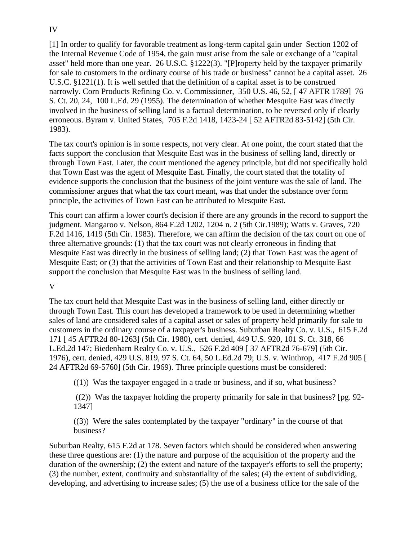[1] In order to qualify for favorable treatment as long-term capital gain under Section 1202 of the Internal Revenue Code of 1954, the gain must arise from the sale or exchange of a "capital asset" held more than one year. 26 U.S.C. §1222(3). "[P]roperty held by the taxpayer primarily for sale to customers in the ordinary course of his trade or business" cannot be a capital asset. 26 U.S.C. §1221(1). It is well settled that the definition of a capital asset is to be construed narrowly. Corn Products Refining Co. v. Commissioner, 350 U.S. 46, 52, [ 47 AFTR 1789] 76 S. Ct. 20, 24, 100 L.Ed. 29 (1955). The determination of whether Mesquite East was directly involved in the business of selling land is a factual determination, to be reversed only if clearly erroneous. Byram v. United States, 705 F.2d 1418, 1423-24 [ 52 AFTR2d 83-5142] (5th Cir. 1983).

The tax court's opinion is in some respects, not very clear. At one point, the court stated that the facts support the conclusion that Mesquite East was in the business of selling land, directly or through Town East. Later, the court mentioned the agency principle, but did not specifically hold that Town East was the agent of Mesquite East. Finally, the court stated that the totality of evidence supports the conclusion that the business of the joint venture was the sale of land. The commissioner argues that what the tax court meant, was that under the substance over form principle, the activities of Town East can be attributed to Mesquite East.

This court can affirm a lower court's decision if there are any grounds in the record to support the judgment. Mangaroo v. Nelson, 864 F.2d 1202, 1204 n. 2 (5th Cir.1989); Watts v. Graves, 720 F.2d 1416, 1419 (5th Cir. 1983). Therefore, we can affirm the decision of the tax court on one of three alternative grounds: (1) that the tax court was not clearly erroneous in finding that Mesquite East was directly in the business of selling land; (2) that Town East was the agent of Mesquite East; or (3) that the activities of Town East and their relationship to Mesquite East support the conclusion that Mesquite East was in the business of selling land.

#### V

The tax court held that Mesquite East was in the business of selling land, either directly or through Town East. This court has developed a framework to be used in determining whether sales of land are considered sales of a capital asset or sales of property held primarily for sale to customers in the ordinary course of a taxpayer's business. Suburban Realty Co. v. U.S., 615 F.2d 171 [ 45 AFTR2d 80-1263] (5th Cir. 1980), cert. denied, 449 U.S. 920, 101 S. Ct. 318, 66 L.Ed.2d 147; Biedenharn Realty Co. v. U.S., 526 F.2d 409 [ 37 AFTR2d 76-679] (5th Cir. 1976), cert. denied, 429 U.S. 819, 97 S. Ct. 64, 50 L.Ed.2d 79; U.S. v. Winthrop, 417 F.2d 905 [ 24 AFTR2d 69-5760] (5th Cir. 1969). Three principle questions must be considered:

((1)) Was the taxpayer engaged in a trade or business, and if so, what business?

((2)) Was the taxpayer holding the property primarily for sale in that business? [pg. 92- 1347]

((3)) Were the sales contemplated by the taxpayer "ordinary" in the course of that business?

Suburban Realty, 615 F.2d at 178. Seven factors which should be considered when answering these three questions are: (1) the nature and purpose of the acquisition of the property and the duration of the ownership; (2) the extent and nature of the taxpayer's efforts to sell the property; (3) the number, extent, continuity and substantiality of the sales; (4) the extent of subdividing, developing, and advertising to increase sales; (5) the use of a business office for the sale of the

# IV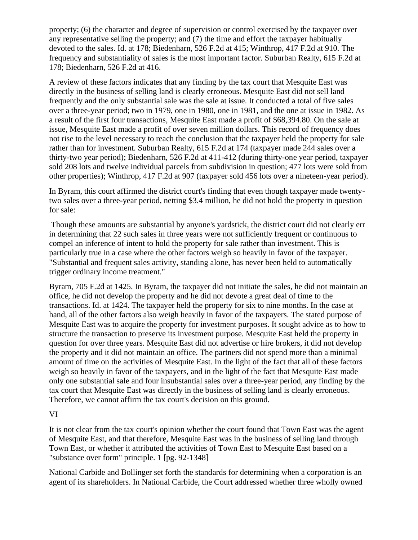property; (6) the character and degree of supervision or control exercised by the taxpayer over any representative selling the property; and (7) the time and effort the taxpayer habitually devoted to the sales. Id. at 178; Biedenharn, 526 F.2d at 415; Winthrop, 417 F.2d at 910. The frequency and substantiality of sales is the most important factor. Suburban Realty, 615 F.2d at 178; Biedenharn, 526 F.2d at 416.

A review of these factors indicates that any finding by the tax court that Mesquite East was directly in the business of selling land is clearly erroneous. Mesquite East did not sell land frequently and the only substantial sale was the sale at issue. It conducted a total of five sales over a three-year period; two in 1979, one in 1980, one in 1981, and the one at issue in 1982. As a result of the first four transactions, Mesquite East made a profit of \$68,394.80. On the sale at issue, Mesquite East made a profit of over seven million dollars. This record of frequency does not rise to the level necessary to reach the conclusion that the taxpayer held the property for sale rather than for investment. Suburban Realty, 615 F.2d at 174 (taxpayer made 244 sales over a thirty-two year period); Biedenharn, 526 F.2d at 411-412 (during thirty-one year period, taxpayer sold 208 lots and twelve individual parcels from subdivision in question; 477 lots were sold from other properties); Winthrop, 417 F.2d at 907 (taxpayer sold 456 lots over a nineteen-year period).

In Byram, this court affirmed the district court's finding that even though taxpayer made twentytwo sales over a three-year period, netting \$3.4 million, he did not hold the property in question for sale:

Though these amounts are substantial by anyone's yardstick, the district court did not clearly err in determining that 22 such sales in three years were not sufficiently frequent or continuous to compel an inference of intent to hold the property for sale rather than investment. This is particularly true in a case where the other factors weigh so heavily in favor of the taxpayer. "Substantial and frequent sales activity, standing alone, has never been held to automatically trigger ordinary income treatment."

Byram, 705 F.2d at 1425. In Byram, the taxpayer did not initiate the sales, he did not maintain an office, he did not develop the property and he did not devote a great deal of time to the transactions. Id. at 1424. The taxpayer held the property for six to nine months. In the case at hand, all of the other factors also weigh heavily in favor of the taxpayers. The stated purpose of Mesquite East was to acquire the property for investment purposes. It sought advice as to how to structure the transaction to preserve its investment purpose. Mesquite East held the property in question for over three years. Mesquite East did not advertise or hire brokers, it did not develop the property and it did not maintain an office. The partners did not spend more than a minimal amount of time on the activities of Mesquite East. In the light of the fact that all of these factors weigh so heavily in favor of the taxpayers, and in the light of the fact that Mesquite East made only one substantial sale and four insubstantial sales over a three-year period, any finding by the tax court that Mesquite East was directly in the business of selling land is clearly erroneous. Therefore, we cannot affirm the tax court's decision on this ground.

## VI

It is not clear from the tax court's opinion whether the court found that Town East was the agent of Mesquite East, and that therefore, Mesquite East was in the business of selling land through Town East, or whether it attributed the activities of Town East to Mesquite East based on a "substance over form" principle. 1 [pg. 92-1348]

National Carbide and Bollinger set forth the standards for determining when a corporation is an agent of its shareholders. In National Carbide, the Court addressed whether three wholly owned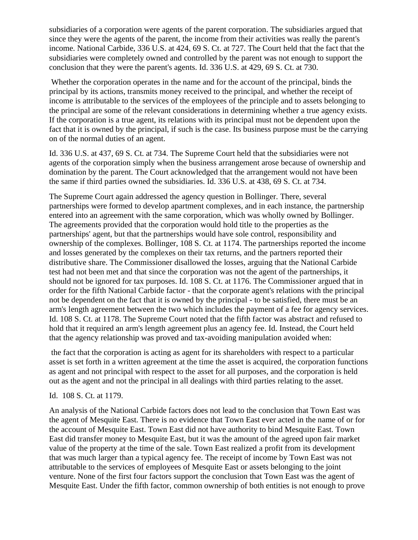subsidiaries of a corporation were agents of the parent corporation. The subsidiaries argued that since they were the agents of the parent, the income from their activities was really the parent's income. National Carbide, 336 U.S. at 424, 69 S. Ct. at 727. The Court held that the fact that the subsidiaries were completely owned and controlled by the parent was not enough to support the conclusion that they were the parent's agents. Id. 336 U.S. at 429, 69 S. Ct. at 730.

Whether the corporation operates in the name and for the account of the principal, binds the principal by its actions, transmits money received to the principal, and whether the receipt of income is attributable to the services of the employees of the principle and to assets belonging to the principal are some of the relevant considerations in determining whether a true agency exists. If the corporation is a true agent, its relations with its principal must not be dependent upon the fact that it is owned by the principal, if such is the case. Its business purpose must be the carrying on of the normal duties of an agent.

Id. 336 U.S. at 437, 69 S. Ct. at 734. The Supreme Court held that the subsidiaries were not agents of the corporation simply when the business arrangement arose because of ownership and domination by the parent. The Court acknowledged that the arrangement would not have been the same if third parties owned the subsidiaries. Id. 336 U.S. at 438, 69 S. Ct. at 734.

The Supreme Court again addressed the agency question in Bollinger. There, several partnerships were formed to develop apartment complexes, and in each instance, the partnership entered into an agreement with the same corporation, which was wholly owned by Bollinger. The agreements provided that the corporation would hold title to the properties as the partnerships' agent, but that the partnerships would have sole control, responsibility and ownership of the complexes. Bollinger, 108 S. Ct. at 1174. The partnerships reported the income and losses generated by the complexes on their tax returns, and the partners reported their distributive share. The Commissioner disallowed the losses, arguing that the National Carbide test had not been met and that since the corporation was not the agent of the partnerships, it should not be ignored for tax purposes. Id. 108 S. Ct. at 1176. The Commissioner argued that in order for the fifth National Carbide factor - that the corporate agent's relations with the principal not be dependent on the fact that it is owned by the principal - to be satisfied, there must be an arm's length agreement between the two which includes the payment of a fee for agency services. Id. 108 S. Ct. at 1178. The Supreme Court noted that the fifth factor was abstract and refused to hold that it required an arm's length agreement plus an agency fee. Id. Instead, the Court held that the agency relationship was proved and tax-avoiding manipulation avoided when:

the fact that the corporation is acting as agent for its shareholders with respect to a particular asset is set forth in a written agreement at the time the asset is acquired, the corporation functions as agent and not principal with respect to the asset for all purposes, and the corporation is held out as the agent and not the principal in all dealings with third parties relating to the asset.

# Id. 108 S. Ct. at 1179.

An analysis of the National Carbide factors does not lead to the conclusion that Town East was the agent of Mesquite East. There is no evidence that Town East ever acted in the name of or for the account of Mesquite East. Town East did not have authority to bind Mesquite East. Town East did transfer money to Mesquite East, but it was the amount of the agreed upon fair market value of the property at the time of the sale. Town East realized a profit from its development that was much larger than a typical agency fee. The receipt of income by Town East was not attributable to the services of employees of Mesquite East or assets belonging to the joint venture. None of the first four factors support the conclusion that Town East was the agent of Mesquite East. Under the fifth factor, common ownership of both entities is not enough to prove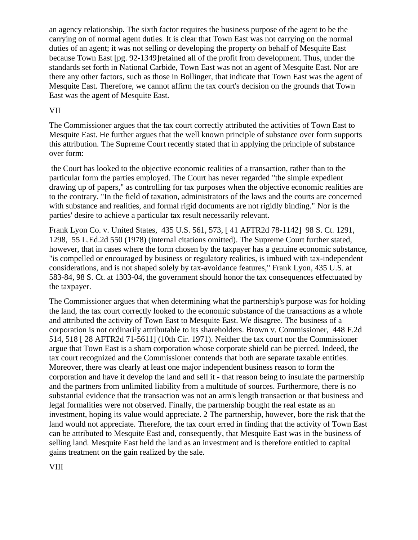an agency relationship. The sixth factor requires the business purpose of the agent to be the carrying on of normal agent duties. It is clear that Town East was not carrying on the normal duties of an agent; it was not selling or developing the property on behalf of Mesquite East because Town East [pg. 92-1349]retained all of the profit from development. Thus, under the standards set forth in National Carbide, Town East was not an agent of Mesquite East. Nor are there any other factors, such as those in Bollinger, that indicate that Town East was the agent of Mesquite East. Therefore, we cannot affirm the tax court's decision on the grounds that Town East was the agent of Mesquite East.

# VII

The Commissioner argues that the tax court correctly attributed the activities of Town East to Mesquite East. He further argues that the well known principle of substance over form supports this attribution. The Supreme Court recently stated that in applying the principle of substance over form:

the Court has looked to the objective economic realities of a transaction, rather than to the particular form the parties employed. The Court has never regarded "the simple expedient drawing up of papers," as controlling for tax purposes when the objective economic realities are to the contrary. "In the field of taxation, administrators of the laws and the courts are concerned with substance and realities, and formal rigid documents are not rigidly binding." Nor is the parties' desire to achieve a particular tax result necessarily relevant.

Frank Lyon Co. v. United States, 435 U.S. 561, 573, [ 41 AFTR2d 78-1142] 98 S. Ct. 1291, 1298, 55 L.Ed.2d 550 (1978) (internal citations omitted). The Supreme Court further stated, however, that in cases where the form chosen by the taxpayer has a genuine economic substance, "is compelled or encouraged by business or regulatory realities, is imbued with tax-independent considerations, and is not shaped solely by tax-avoidance features," Frank Lyon, 435 U.S. at 583-84, 98 S. Ct. at 1303-04, the government should honor the tax consequences effectuated by the taxpayer.

The Commissioner argues that when determining what the partnership's purpose was for holding the land, the tax court correctly looked to the economic substance of the transactions as a whole and attributed the activity of Town East to Mesquite East. We disagree. The business of a corporation is not ordinarily attributable to its shareholders. Brown v. Commissioner, 448 F.2d 514, 518 [ 28 AFTR2d 71-5611] (10th Cir. 1971). Neither the tax court nor the Commissioner argue that Town East is a sham corporation whose corporate shield can be pierced. Indeed, the tax court recognized and the Commissioner contends that both are separate taxable entities. Moreover, there was clearly at least one major independent business reason to form the corporation and have it develop the land and sell it - that reason being to insulate the partnership and the partners from unlimited liability from a multitude of sources. Furthermore, there is no substantial evidence that the transaction was not an arm's length transaction or that business and legal formalities were not observed. Finally, the partnership bought the real estate as an investment, hoping its value would appreciate. 2 The partnership, however, bore the risk that the land would not appreciate. Therefore, the tax court erred in finding that the activity of Town East can be attributed to Mesquite East and, consequently, that Mesquite East was in the business of selling land. Mesquite East held the land as an investment and is therefore entitled to capital gains treatment on the gain realized by the sale.